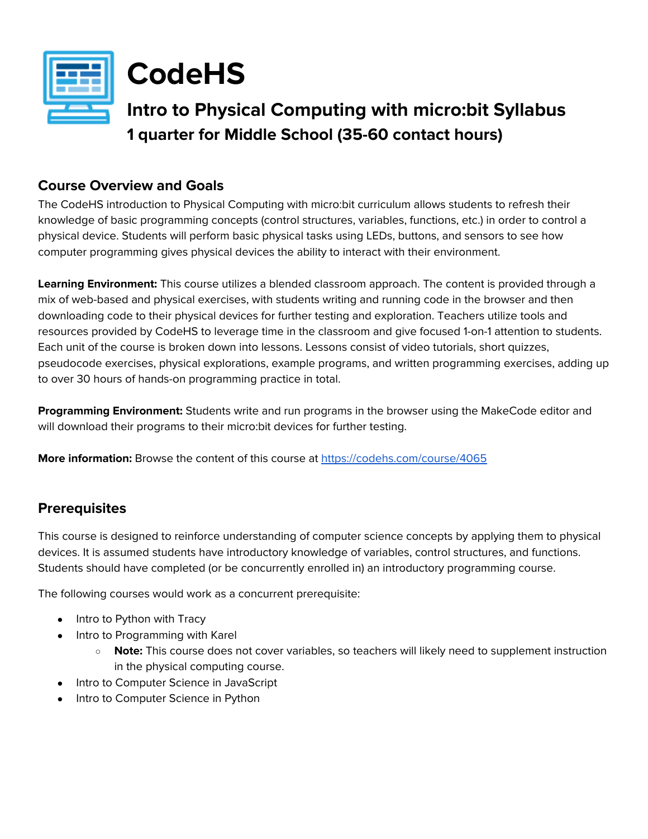



# **Intro to Physical Computing with micro:bit Syllabus 1 quarter for Middle School (35-60 contact hours)**

## **Course Overview and Goals**

The CodeHS introduction to Physical Computing with micro:bit curriculum allows students to refresh their knowledge of basic programming concepts (control structures, variables, functions, etc.) in order to control a physical device. Students will perform basic physical tasks using LEDs, buttons, and sensors to see how computer programming gives physical devices the ability to interact with their environment.

**Learning Environment:** This course utilizes a blended classroom approach. The content is provided through a mix of web-based and physical exercises, with students writing and running code in the browser and then downloading code to their physical devices for further testing and exploration. Teachers utilize tools and resources provided by CodeHS to leverage time in the classroom and give focused 1-on-1 attention to students. Each unit of the course is broken down into lessons. Lessons consist of video tutorials, short quizzes, pseudocode exercises, physical explorations, example programs, and written programming exercises, adding up to over 30 hours of hands-on programming practice in total.

**Programming Environment:** Students write and run programs in the browser using the MakeCode editor and will download their programs to their micro:bit devices for further testing.

**More information:** Browse the content of this course at <https://codehs.com/course/4065>

## **Prerequisites**

This course is designed to reinforce understanding of computer science concepts by applying them to physical devices. It is assumed students have introductory knowledge of variables, control structures, and functions. Students should have completed (or be concurrently enrolled in) an introductory programming course.

The following courses would work as a concurrent prerequisite:

- Intro to Python with Tracy
- Intro to Programming with Karel
	- **Note:** This course does not cover variables, so teachers will likely need to supplement instruction in the physical computing course.
- Intro to Computer Science in JavaScript
- Intro to Computer Science in Python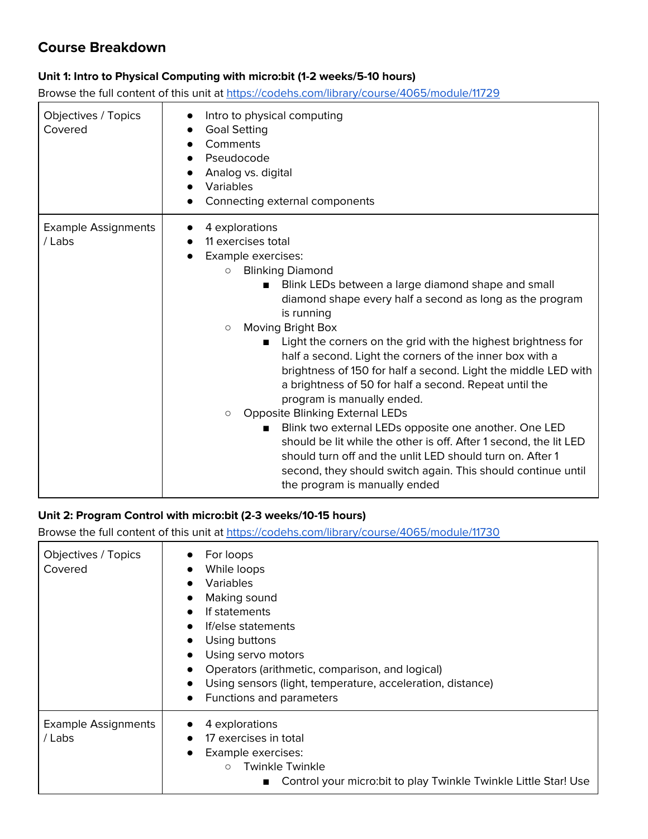## **Course Breakdown**

#### **Unit 1: Intro to Physical Computing with micro:bit (1-2 weeks/5-10 hours)**

Browse the full content of this unit at <https://codehs.com/library/course/4065/module/11729>

| Objectives / Topics<br>Covered       | Intro to physical computing<br><b>Goal Setting</b><br>Comments<br>Pseudocode<br>Analog vs. digital<br><b>Variables</b><br>Connecting external components                                                                                                                                                                                                                                                                                                                                                                                                                                                                                                                                                                                                                                                                                                                                                      |
|--------------------------------------|---------------------------------------------------------------------------------------------------------------------------------------------------------------------------------------------------------------------------------------------------------------------------------------------------------------------------------------------------------------------------------------------------------------------------------------------------------------------------------------------------------------------------------------------------------------------------------------------------------------------------------------------------------------------------------------------------------------------------------------------------------------------------------------------------------------------------------------------------------------------------------------------------------------|
| <b>Example Assignments</b><br>/ Labs | 4 explorations<br>11 exercises total<br>Example exercises:<br><b>Blinking Diamond</b><br>$\circ$<br>Blink LEDs between a large diamond shape and small<br>diamond shape every half a second as long as the program<br>is running<br>Moving Bright Box<br>$\circ$<br>Light the corners on the grid with the highest brightness for<br>п<br>half a second. Light the corners of the inner box with a<br>brightness of 150 for half a second. Light the middle LED with<br>a brightness of 50 for half a second. Repeat until the<br>program is manually ended.<br><b>Opposite Blinking External LEDs</b><br>$\circ$<br>Blink two external LEDs opposite one another. One LED<br>should be lit while the other is off. After 1 second, the lit LED<br>should turn off and the unlit LED should turn on. After 1<br>second, they should switch again. This should continue until<br>the program is manually ended |

#### **Unit 2: Program Control with micro:bit (2-3 weeks/10-15 hours)**

Browse the full content of this unit at <https://codehs.com/library/course/4065/module/11730>

| Objectives / Topics<br>Covered       | For loops<br>While loops<br><b>Variables</b><br>Making sound<br>If statements<br>If/else statements<br>Using buttons<br>Using servo motors<br>Operators (arithmetic, comparison, and logical)<br>Using sensors (light, temperature, acceleration, distance)<br>Functions and parameters |
|--------------------------------------|-----------------------------------------------------------------------------------------------------------------------------------------------------------------------------------------------------------------------------------------------------------------------------------------|
| <b>Example Assignments</b><br>/ Labs | 4 explorations<br>17 exercises in total<br>Example exercises:<br><b>Twinkle Twinkle</b><br>$\circ$<br>Control your micro: bit to play Twinkle Twinkle Little Star! Use                                                                                                                  |